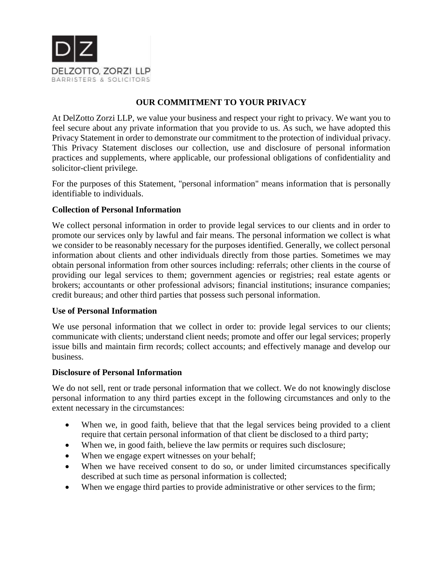

# **OUR COMMITMENT TO YOUR PRIVACY**

At DelZotto Zorzi LLP, we value your business and respect your right to privacy. We want you to feel secure about any private information that you provide to us. As such, we have adopted this Privacy Statement in order to demonstrate our commitment to the protection of individual privacy. This Privacy Statement discloses our collection, use and disclosure of personal information practices and supplements, where applicable, our professional obligations of confidentiality and solicitor-client privilege.

For the purposes of this Statement, "personal information" means information that is personally identifiable to individuals.

# **Collection of Personal Information**

We collect personal information in order to provide legal services to our clients and in order to promote our services only by lawful and fair means. The personal information we collect is what we consider to be reasonably necessary for the purposes identified. Generally, we collect personal information about clients and other individuals directly from those parties. Sometimes we may obtain personal information from other sources including: referrals; other clients in the course of providing our legal services to them; government agencies or registries; real estate agents or brokers; accountants or other professional advisors; financial institutions; insurance companies; credit bureaus; and other third parties that possess such personal information.

# **Use of Personal Information**

We use personal information that we collect in order to: provide legal services to our clients; communicate with clients; understand client needs; promote and offer our legal services; properly issue bills and maintain firm records; collect accounts; and effectively manage and develop our business.

#### **Disclosure of Personal Information**

We do not sell, rent or trade personal information that we collect. We do not knowingly disclose personal information to any third parties except in the following circumstances and only to the extent necessary in the circumstances:

- When we, in good faith, believe that that the legal services being provided to a client require that certain personal information of that client be disclosed to a third party;
- When we, in good faith, believe the law permits or requires such disclosure;
- When we engage expert witnesses on your behalf;
- When we have received consent to do so, or under limited circumstances specifically described at such time as personal information is collected;
- When we engage third parties to provide administrative or other services to the firm;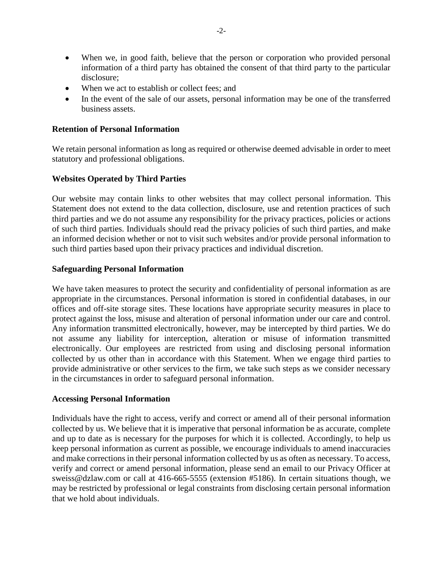- When we, in good faith, believe that the person or corporation who provided personal information of a third party has obtained the consent of that third party to the particular disclosure;
- When we act to establish or collect fees; and
- In the event of the sale of our assets, personal information may be one of the transferred business assets.

### **Retention of Personal Information**

We retain personal information as long as required or otherwise deemed advisable in order to meet statutory and professional obligations.

# **Websites Operated by Third Parties**

Our website may contain links to other websites that may collect personal information. This Statement does not extend to the data collection, disclosure, use and retention practices of such third parties and we do not assume any responsibility for the privacy practices, policies or actions of such third parties. Individuals should read the privacy policies of such third parties, and make an informed decision whether or not to visit such websites and/or provide personal information to such third parties based upon their privacy practices and individual discretion.

#### **Safeguarding Personal Information**

We have taken measures to protect the security and confidentiality of personal information as are appropriate in the circumstances. Personal information is stored in confidential databases, in our offices and off-site storage sites. These locations have appropriate security measures in place to protect against the loss, misuse and alteration of personal information under our care and control. Any information transmitted electronically, however, may be intercepted by third parties. We do not assume any liability for interception, alteration or misuse of information transmitted electronically. Our employees are restricted from using and disclosing personal information collected by us other than in accordance with this Statement. When we engage third parties to provide administrative or other services to the firm, we take such steps as we consider necessary in the circumstances in order to safeguard personal information.

#### **Accessing Personal Information**

Individuals have the right to access, verify and correct or amend all of their personal information collected by us. We believe that it is imperative that personal information be as accurate, complete and up to date as is necessary for the purposes for which it is collected. Accordingly, to help us keep personal information as current as possible, we encourage individuals to amend inaccuracies and make corrections in their personal information collected by us as often as necessary. To access, verify and correct or amend personal information, please send an email to our Privacy Officer at sweiss@dzlaw.com or call at 416-665-5555 (extension #5186). In certain situations though, we may be restricted by professional or legal constraints from disclosing certain personal information that we hold about individuals.